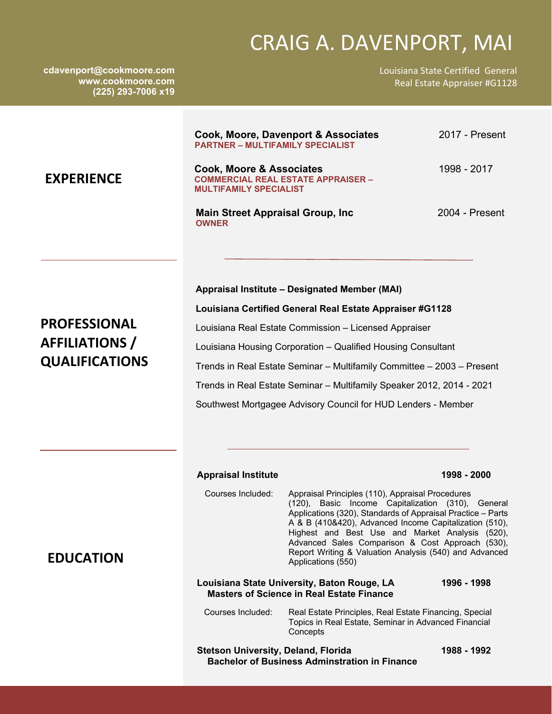# CRAIG A. DAVENPORT, MAI

**cdavenport@cookmoore.com www.cookmoore.com (225) 293-7006 x19** 

Louisiana State Certified General Real Estate Appraiser #G1128

| <b>EXPERIENCE</b>                                                     | <b>PARTNER - MULTIFAMILY SPECIALIST</b><br><b>Cook, Moore &amp; Associates</b><br><b>MULTIFAMILY SPECIALIST</b><br><b>Main Street Appraisal Group, Inc.</b><br><b>OWNER</b>                                                                                                                                                                                                                                                                            | Cook, Moore, Davenport & Associates<br><b>COMMERCIAL REAL ESTATE APPRAISER -</b>                                                                                                                                                                                                                                                                                                                                                                                                                                         | 2017 - Present<br>1998 - 2017<br>2004 - Present |
|-----------------------------------------------------------------------|--------------------------------------------------------------------------------------------------------------------------------------------------------------------------------------------------------------------------------------------------------------------------------------------------------------------------------------------------------------------------------------------------------------------------------------------------------|--------------------------------------------------------------------------------------------------------------------------------------------------------------------------------------------------------------------------------------------------------------------------------------------------------------------------------------------------------------------------------------------------------------------------------------------------------------------------------------------------------------------------|-------------------------------------------------|
| <b>PROFESSIONAL</b><br><b>AFFILIATIONS</b> /<br><b>QUALIFICATIONS</b> | Appraisal Institute - Designated Member (MAI)<br>Louisiana Certified General Real Estate Appraiser #G1128<br>Louisiana Real Estate Commission - Licensed Appraiser<br>Louisiana Housing Corporation - Qualified Housing Consultant<br>Trends in Real Estate Seminar - Multifamily Committee - 2003 - Present<br>Trends in Real Estate Seminar - Multifamily Speaker 2012, 2014 - 2021<br>Southwest Mortgagee Advisory Council for HUD Lenders - Member |                                                                                                                                                                                                                                                                                                                                                                                                                                                                                                                          |                                                 |
| <b>EDUCATION</b>                                                      | <b>Appraisal Institute</b><br>Courses Included:                                                                                                                                                                                                                                                                                                                                                                                                        | Appraisal Principles (110), Appraisal Procedures<br>(120), Basic Income Capitalization (310), General<br>Applications (320), Standards of Appraisal Practice - Parts<br>A & B (410&420), Advanced Income Capitalization (510),<br>Highest and Best Use and Market Analysis (520),<br>Advanced Sales Comparison & Cost Approach (530),<br>Report Writing & Valuation Analysis (540) and Advanced<br>Applications (550)<br>Louisiana State University, Baton Rouge, LA<br><b>Masters of Science in Real Estate Finance</b> | 1998 - 2000<br>1996 - 1998                      |

 Courses Included: Real Estate Principles, Real Estate Financing, Special Topics in Real Estate, Seminar in Advanced Financial **Concepts** 

**Stetson University, Deland, Florida 1988 - 1992 Bachelor of Business Adminstration in Finance**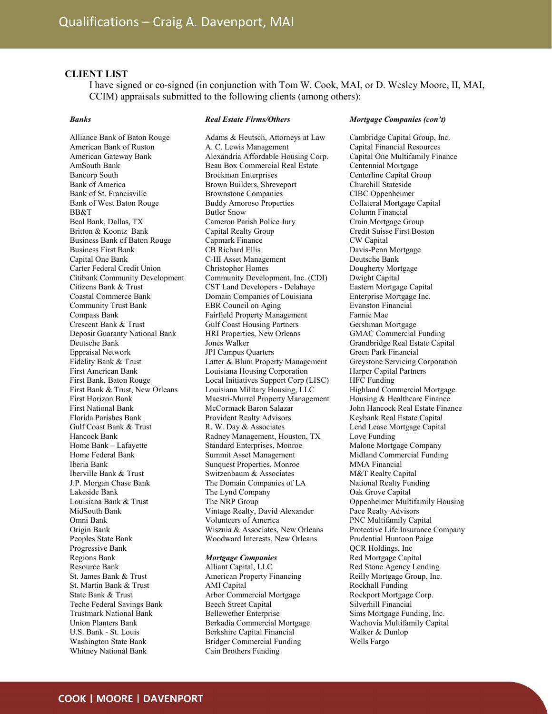# CLIENT LIST

I have signed or co-signed (in conjunction with Tom W. Cook, MAI, or D. Wesley Moore, II, MAI, CCIM) appraisals submitted to the following clients (among others):

Real Estate Firms/Others

## Banks

## Alliance Bank of Baton Rouge American Bank of Ruston American Gateway Bank AmSouth Bank Bancorp South Bank of America Bank of St. Francisville Bank of West Baton Rouge BB&T Beal Bank, Dallas, TX Britton & Koontz Bank Business Bank of Baton Rouge Business First Bank Capital One Bank Carter Federal Credit Union Citibank Community Development Citizens Bank & Trust Coastal Commerce Bank Community Trust Bank Compass Bank Crescent Bank & Trust Deposit Guaranty National Bank Deutsche Bank Eppraisal Network Fidelity Bank & Trust First American Bank First Bank, Baton Rouge First Bank & Trust, New Orleans First Horizon Bank First National Bank Florida Parishes Bank Gulf Coast Bank & Trust Hancock Bank Home Bank – Lafayette Home Federal Bank Iberia Bank Iberville Bank & Trust J.P. Morgan Chase Bank Lakeside Bank Louisiana Bank & Trust MidSouth Bank Omni Bank Origin Bank Peoples State Bank Progressive Bank Regions Bank Resource Bank St. James Bank & Trust St. Martin Bank & Trust State Bank & Trust Teche Federal Savings Bank Trustmark National Bank Union Planters Bank U.S. Bank - St. Louis Washington State Bank

Adams & Heutsch, Attorneys at Law A. C. Lewis Management Alexandria Affordable Housing Corp. Beau Box Commercial Real Estate Brockman Enterprises Brown Builders, Shreveport Brownstone Companies Buddy Amoroso Properties Butler Snow Cameron Parish Police Jury Capital Realty Group Capmark Finance CB Richard Ellis C-III Asset Management Christopher Homes Community Development, Inc. (CDI) CST Land Developers - Delahaye Domain Companies of Louisiana EBR Council on Aging Fairfield Property Management Gulf Coast Housing Partners HRI Properties, New Orleans Jones Walker JPI Campus Quarters Latter & Blum Property Management Louisiana Housing Corporation Local Initiatives Support Corp (LISC) Louisiana Military Housing, LLC Maestri-Murrel Property Management McCormack Baron Salazar Provident Realty Advisors R. W. Day & Associates Radney Management, Houston, TX Standard Enterprises, Monroe Summit Asset Management Sunquest Properties, Monroe Switzenbaum & Associates The Domain Companies of LA The Lynd Company The NRP Group Vintage Realty, David Alexander Volunteers of America Wisznia & Associates, New Orleans Woodward Interests, New Orleans Mortgage Companies

## Alliant Capital, LLC American Property Financing AMI Capital Arbor Commercial Mortgage Beech Street Capital Bellewether Enterprise Berkadia Commercial Mortgage Berkshire Capital Financial Bridger Commercial Funding

Cain Brothers Funding

#### Mortgage Companies (con't)

Cambridge Capital Group, Inc. Capital Financial Resources Capital One Multifamily Finance Centennial Mortgage Centerline Capital Group Churchill Stateside CIBC Oppenheimer Collateral Mortgage Capital Column Financial Crain Mortgage Group Credit Suisse First Boston CW Capital Davis-Penn Mortgage Deutsche Bank Dougherty Mortgage Dwight Capital Eastern Mortgage Capital Enterprise Mortgage Inc. Evanston Financial Fannie Mae Gershman Mortgage GMAC Commercial Funding Grandbridge Real Estate Capital Green Park Financial Greystone Servicing Corporation Harper Capital Partners HFC Funding Highland Commercial Mortgage Housing & Healthcare Finance John Hancock Real Estate Finance Keybank Real Estate Capital Lend Lease Mortgage Capital Love Funding Malone Mortgage Company Midland Commercial Funding MMA Financial M&T Realty Capital National Realty Funding Oak Grove Capital Oppenheimer Multifamily Housing Pace Realty Advisors PNC Multifamily Capital Protective Life Insurance Company Prudential Huntoon Paige QCR Holdings, Inc Red Mortgage Capital Red Stone Agency Lending Reilly Mortgage Group, Inc. Rockhall Funding Rockport Mortgage Corp. Silverhill Financial Sims Mortgage Funding, Inc. Wachovia Multifamily Capital Walker & Dunlop Wells Fargo

Whitney National Bank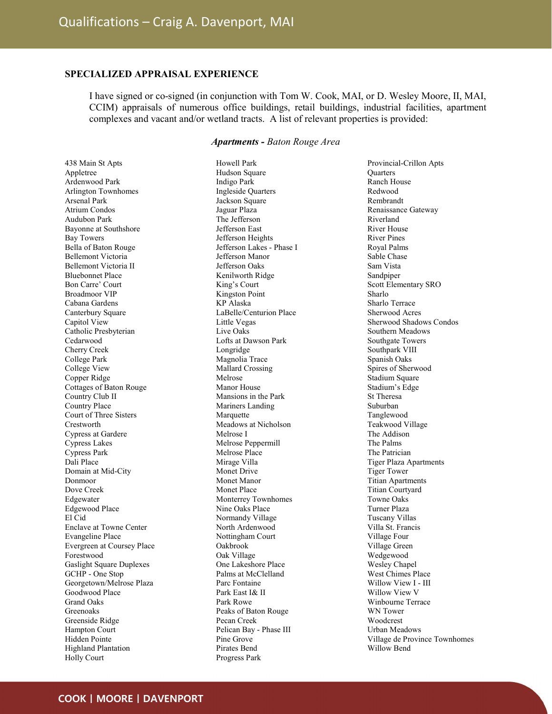# SPECIALIZED APPRAISAL EXPERIENCE

I have signed or co-signed (in conjunction with Tom W. Cook, MAI, or D. Wesley Moore, II, MAI, CCIM) appraisals of numerous office buildings, retail buildings, industrial facilities, apartment complexes and vacant and/or wetland tracts. A list of relevant properties is provided:

# Apartments - Baton Rouge Area

Howell Park

438 Main St Apts Appletree Ardenwood Park Arlington Townhomes Arsenal Park Atrium Condos Audubon Park Bayonne at Southshore Bay Towers Bella of Baton Rouge Bellemont Victoria Bellemont Victoria II Bluebonnet Place Bon Carre' Court Broadmoor VIP Cabana Gardens Canterbury Square Capitol View Catholic Presbyterian Cedarwood Cherry Creek College Park College View Copper Ridge Cottages of Baton Rouge Country Club II Country Place Court of Three Sisters **Crestworth** Cypress at Gardere Cypress Lakes Cypress Park Dali Place Domain at Mid-City Donmoor Dove Creek Edgewater Edgewood Place El Cid Enclave at Towne Center Evangeline Place Evergreen at Coursey Place Forestwood Gaslight Square Duplexes GCHP - One Stop Georgetown/Melrose Plaza Goodwood Place Grand Oaks Greenoaks Greenside Ridge Hampton Court Hidden Pointe Highland Plantation Holly Court

Hudson Square Indigo Park Ingleside Quarters Jackson Square Jaguar Plaza The Jefferson Jefferson East Jefferson Heights Jefferson Lakes - Phase I Jefferson Manor Jefferson Oaks Kenilworth Ridge King's Court Kingston Point KP Alaska LaBelle/Centurion Place Little Vegas Live Oaks Lofts at Dawson Park Longridge Magnolia Trace Mallard Crossing Melrose Manor House Mansions in the Park Mariners Landing Marquette Meadows at Nicholson Melrose I Melrose Peppermill Melrose Place Mirage Villa Monet Drive Monet Manor Monet Place Monterrey Townhomes Nine Oaks Place Normandy Village North Ardenwood Nottingham Court Oakbrook Oak Village One Lakeshore Place Palms at McClelland Parc Fontaine Park East I& II Park Rowe Peaks of Baton Rouge Pecan Creek Pelican Bay - Phase III Pine Grove Pirates Bend Progress Park

Provincial-Crillon Apts **Ouarters** Ranch House Redwood Rembrandt Renaissance Gateway Riverland River House River Pines Royal Palms Sable Chase Sam Vista Sandpiper Scott Elementary SRO Sharlo Sharlo Terrace Sherwood Acres Sherwood Shadows Condos Southern Meadows Southgate Towers Southpark VIII Spanish Oaks Spires of Sherwood Stadium Square Stadium's Edge St Theresa Suburban Tanglewood Teakwood Village The Addison The Palms The Patrician Tiger Plaza Apartments Tiger Tower Titian Apartments Titian Courtyard Towne Oaks Turner Plaza Tuscany Villas Villa St. Francis Village Four Village Green Wedgewood Wesley Chapel West Chimes Place Willow View I - III Willow View V Winbourne Terrace WN Tower Woodcrest Urban Meadows Village de Province Townhomes Willow Bend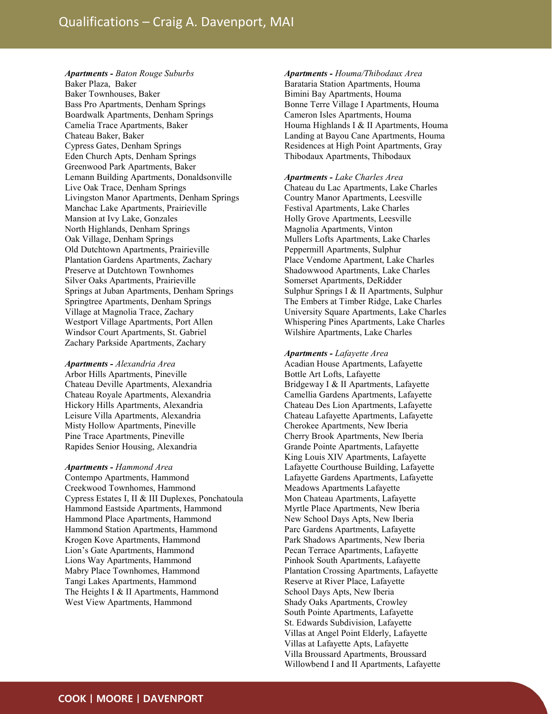Apartments - Baton Rouge Suburbs Baker Plaza, Baker Baker Townhouses, Baker Bass Pro Apartments, Denham Springs Boardwalk Apartments, Denham Springs Camelia Trace Apartments, Baker Chateau Baker, Baker Cypress Gates, Denham Springs Eden Church Apts, Denham Springs Greenwood Park Apartments, Baker Lemann Building Apartments, Donaldsonville Live Oak Trace, Denham Springs Livingston Manor Apartments, Denham Springs Manchac Lake Apartments, Prairieville Mansion at Ivy Lake, Gonzales North Highlands, Denham Springs Oak Village, Denham Springs Old Dutchtown Apartments, Prairieville Plantation Gardens Apartments, Zachary Preserve at Dutchtown Townhomes Silver Oaks Apartments, Prairieville Springs at Juban Apartments, Denham Springs Springtree Apartments, Denham Springs Village at Magnolia Trace, Zachary Westport Village Apartments, Port Allen Windsor Court Apartments, St. Gabriel Zachary Parkside Apartments, Zachary

#### Apartments - Alexandria Area

Arbor Hills Apartments, Pineville Chateau Deville Apartments, Alexandria Chateau Royale Apartments, Alexandria Hickory Hills Apartments, Alexandria Leisure Villa Apartments, Alexandria Misty Hollow Apartments, Pineville Pine Trace Apartments, Pineville Rapides Senior Housing, Alexandria

Apartments - Hammond Area Contempo Apartments, Hammond Creekwood Townhomes, Hammond Cypress Estates I, II & III Duplexes, Ponchatoula Hammond Eastside Apartments, Hammond Hammond Place Apartments, Hammond Hammond Station Apartments, Hammond Krogen Kove Apartments, Hammond Lion's Gate Apartments, Hammond Lions Way Apartments, Hammond Mabry Place Townhomes, Hammond Tangi Lakes Apartments, Hammond The Heights I & II Apartments, Hammond West View Apartments, Hammond

Apartments - Houma/Thibodaux Area Barataria Station Apartments, Houma Bimini Bay Apartments, Houma Bonne Terre Village I Apartments, Houma Cameron Isles Apartments, Houma Houma Highlands I & II Apartments, Houma Landing at Bayou Cane Apartments, Houma Residences at High Point Apartments, Gray Thibodaux Apartments, Thibodaux

## Apartments - Lake Charles Area

Chateau du Lac Apartments, Lake Charles Country Manor Apartments, Leesville Festival Apartments, Lake Charles Holly Grove Apartments, Leesville Magnolia Apartments, Vinton Mullers Lofts Apartments, Lake Charles Peppermill Apartments, Sulphur Place Vendome Apartment, Lake Charles Shadowwood Apartments, Lake Charles Somerset Apartments, DeRidder Sulphur Springs I & II Apartments, Sulphur The Embers at Timber Ridge, Lake Charles University Square Apartments, Lake Charles Whispering Pines Apartments, Lake Charles Wilshire Apartments, Lake Charles

### Apartments - Lafayette Area

Acadian House Apartments, Lafayette Bottle Art Lofts, Lafayette Bridgeway I & II Apartments, Lafayette Camellia Gardens Apartments, Lafayette Chateau Des Lion Apartments, Lafayette Chateau Lafayette Apartments, Lafayette Cherokee Apartments, New Iberia Cherry Brook Apartments, New Iberia Grande Pointe Apartments, Lafayette King Louis XIV Apartments, Lafayette Lafayette Courthouse Building, Lafayette Lafayette Gardens Apartments, Lafayette Meadows Apartments Lafayette Mon Chateau Apartments, Lafayette Myrtle Place Apartments, New Iberia New School Days Apts, New Iberia Parc Gardens Apartments, Lafayette Park Shadows Apartments, New Iberia Pecan Terrace Apartments, Lafayette Pinhook South Apartments, Lafayette Plantation Crossing Apartments, Lafayette Reserve at River Place, Lafayette School Days Apts, New Iberia Shady Oaks Apartments, Crowley South Pointe Apartments, Lafayette St. Edwards Subdivision, Lafayette Villas at Angel Point Elderly, Lafayette Villas at Lafayette Apts, Lafayette Villa Broussard Apartments, Broussard Willowbend I and II Apartments, Lafayette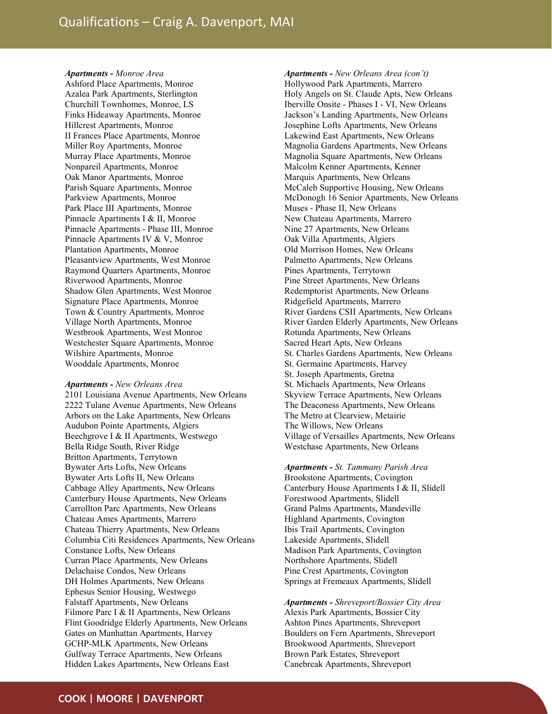Apartments - Monroe Area Ashford Place Apartments, Monroe Azalea Park Apartments, Sterlington Churchill Townhomes, Monroe, LS Finks Hideaway Apartments, Monroe Hillcrest Apartments, Monroe II Frances Place Apartments, Monroe Miller Roy Apartments, Monroe Murray Place Apartments, Monroe Nonpareil Apartments, Monroe Oak Manor Apartments, Monroe Parish Square Apartments, Monroe Parkview Apartments, Monroe Park Place III Apartments, Monroe Pinnacle Apartments I & II, Monroe Pinnacle Apartments - Phase III, Monroe Pinnacle Apartments IV & V, Monroe Plantation Apartments, Monroe Pleasantview Apartments, West Monroe Raymond Quarters Apartments, Monroe Riverwood Apartments, Monroe Shadow Glen Apartments, West Monroe Signature Place Apartments, Monroe Town & Country Apartments, Monroe Village North Apartments, Monroe Westbrook Apartments, West Monroe Westchester Square Apartments, Monroe Wilshire Apartments, Monroe Wooddale Apartments, Monroe

#### Apartments - New Orleans Area

2101 Louisiana Avenue Apartments, New Orleans 2222 Tulane Avenue Apartments, New Orleans Arbors on the Lake Apartments, New Orleans Audubon Pointe Apartments, Algiers Beechgrove I & II Apartments, Westwego Bella Ridge South, River Ridge Britton Apartments, Terrytown Bywater Arts Lofts, New Orleans Bywater Arts Lofts II, New Orleans Cabbage Alley Apartments, New Orleans Canterbury House Apartments, New Orleans Carrollton Parc Apartments, New Orleans Chateau Ames Apartments, Marrero Chateau Thierry Apartments, New Orleans Columbia Citi Residences Apartments, New Orleans Constance Lofts, New Orleans Curran Place Apartments, New Orleans Delachaise Condos, New Orleans DH Holmes Apartments, New Orleans Ephesus Senior Housing, Westwego Falstaff Apartments, New Orleans Filmore Parc I & II Apartments, New Orleans Flint Goodridge Elderly Apartments, New Orleans Gates on Manhattan Apartments, Harvey GCHP-MLK Apartments, New Orleans Gulfway Terrace Apartments, New Orleans Hidden Lakes Apartments, New Orleans East

Apartments - New Orleans Area (con't) Hollywood Park Apartments, Marrero Holy Angels on St. Claude Apts, New Orleans Iberville Onsite - Phases I - VI, New Orleans Jackson's Landing Apartments, New Orleans Josephine Lofts Apartments, New Orleans Lakewind East Apartments, New Orleans Magnolia Gardens Apartments, New Orleans Magnolia Square Apartments, New Orleans Malcolm Kenner Apartments, Kenner Marquis Apartments, New Orleans McCaleb Supportive Housing, New Orleans McDonogh 16 Senior Apartments, New Orleans Muses - Phase II, New Orleans New Chateau Apartments, Marrero Nine 27 Apartments, New Orleans Oak Villa Apartments, Algiers Old Morrison Homes, New Orleans Palmetto Apartments, New Orleans Pines Apartments, Terrytown Pine Street Apartments, New Orleans Redemptorist Apartments, New Orleans Ridgefield Apartments, Marrero River Gardens CSII Apartments, New Orleans River Garden Elderly Apartments, New Orleans Rotunda Apartments, New Orleans Sacred Heart Apts, New Orleans St. Charles Gardens Apartments, New Orleans St. Germaine Apartments, Harvey St. Joseph Apartments, Gretna St. Michaels Apartments, New Orleans Skyview Terrace Apartments, New Orleans The Deaconess Apartments, New Orleans The Metro at Clearview, Metairie The Willows, New Orleans Village of Versailles Apartments, New Orleans Westchase Apartments, New Orleans

Apartments - St. Tammany Parish Area Brookstone Apartments, Covington Canterbury House Apartments I & II, Slidell Forestwood Apartments, Slidell Grand Palms Apartments, Mandeville Highland Apartments, Covington Ibis Trail Apartments, Covington Lakeside Apartments, Slidell Madison Park Apartments, Covington Northshore Apartments, Slidell Pine Crest Apartments, Covington Springs at Fremeaux Apartments, Slidell

Apartments - Shreveport/Bossier City Area Alexis Park Apartments, Bossier City Ashton Pines Apartments, Shreveport Boulders on Fern Apartments, Shreveport Brookwood Apartments, Shreveport Brown Park Estates, Shreveport Canebreak Apartments, Shreveport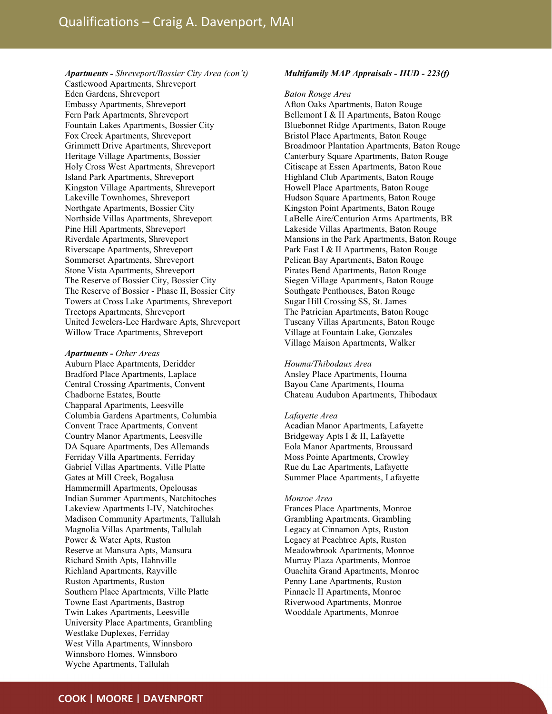Apartments - Shreveport/Bossier City Area (con't) Castlewood Apartments, Shreveport Eden Gardens, Shreveport Embassy Apartments, Shreveport Fern Park Apartments, Shreveport Fountain Lakes Apartments, Bossier City Fox Creek Apartments, Shreveport Grimmett Drive Apartments, Shreveport Heritage Village Apartments, Bossier Holy Cross West Apartments, Shreveport Island Park Apartments, Shreveport Kingston Village Apartments, Shreveport Lakeville Townhomes, Shreveport Northgate Apartments, Bossier City Northside Villas Apartments, Shreveport Pine Hill Apartments, Shreveport Riverdale Apartments, Shreveport Riverscape Apartments, Shreveport Sommerset Apartments, Shreveport Stone Vista Apartments, Shreveport The Reserve of Bossier City, Bossier City The Reserve of Bossier - Phase II, Bossier City Towers at Cross Lake Apartments, Shreveport Treetops Apartments, Shreveport United Jewelers-Lee Hardware Apts, Shreveport Willow Trace Apartments, Shreveport

#### Apartments - Other Areas

Auburn Place Apartments, Deridder Bradford Place Apartments, Laplace Central Crossing Apartments, Convent Chadborne Estates, Boutte Chapparal Apartments, Leesville Columbia Gardens Apartments, Columbia Convent Trace Apartments, Convent Country Manor Apartments, Leesville DA Square Apartments, Des Allemands Ferriday Villa Apartments, Ferriday Gabriel Villas Apartments, Ville Platte Gates at Mill Creek, Bogalusa Hammermill Apartments, Opelousas Indian Summer Apartments, Natchitoches Lakeview Apartments I-IV, Natchitoches Madison Community Apartments, Tallulah Magnolia Villas Apartments, Tallulah Power & Water Apts, Ruston Reserve at Mansura Apts, Mansura Richard Smith Apts, Hahnville Richland Apartments, Rayville Ruston Apartments, Ruston Southern Place Apartments, Ville Platte Towne East Apartments, Bastrop Twin Lakes Apartments, Leesville University Place Apartments, Grambling Westlake Duplexes, Ferriday West Villa Apartments, Winnsboro Winnsboro Homes, Winnsboro Wyche Apartments, Tallulah

## Multifamily MAP Appraisals - HUD - 223(f)

#### Baton Rouge Area

Afton Oaks Apartments, Baton Rouge Bellemont I & II Apartments, Baton Rouge Bluebonnet Ridge Apartments, Baton Rouge Bristol Place Apartments, Baton Rouge Broadmoor Plantation Apartments, Baton Rouge Canterbury Square Apartments, Baton Rouge Citiscape at Essen Apartments, Baton Roue Highland Club Apartments, Baton Rouge Howell Place Apartments, Baton Rouge Hudson Square Apartments, Baton Rouge Kingston Point Apartments, Baton Rouge LaBelle Aire/Centurion Arms Apartments, BR Lakeside Villas Apartments, Baton Rouge Mansions in the Park Apartments, Baton Rouge Park East I & II Apartments, Baton Rouge Pelican Bay Apartments, Baton Rouge Pirates Bend Apartments, Baton Rouge Siegen Village Apartments, Baton Rouge Southgate Penthouses, Baton Rouge Sugar Hill Crossing SS, St. James The Patrician Apartments, Baton Rouge Tuscany Villas Apartments, Baton Rouge Village at Fountain Lake, Gonzales Village Maison Apartments, Walker

#### Houma/Thibodaux Area

Ansley Place Apartments, Houma Bayou Cane Apartments, Houma Chateau Audubon Apartments, Thibodaux

#### Lafayette Area

Acadian Manor Apartments, Lafayette Bridgeway Apts I & II, Lafayette Eola Manor Apartments, Broussard Moss Pointe Apartments, Crowley Rue du Lac Apartments, Lafayette Summer Place Apartments, Lafayette

#### Monroe Area

Frances Place Apartments, Monroe Grambling Apartments, Grambling Legacy at Cinnamon Apts, Ruston Legacy at Peachtree Apts, Ruston Meadowbrook Apartments, Monroe Murray Plaza Apartments, Monroe Ouachita Grand Apartments, Monroe Penny Lane Apartments, Ruston Pinnacle II Apartments, Monroe Riverwood Apartments, Monroe Wooddale Apartments, Monroe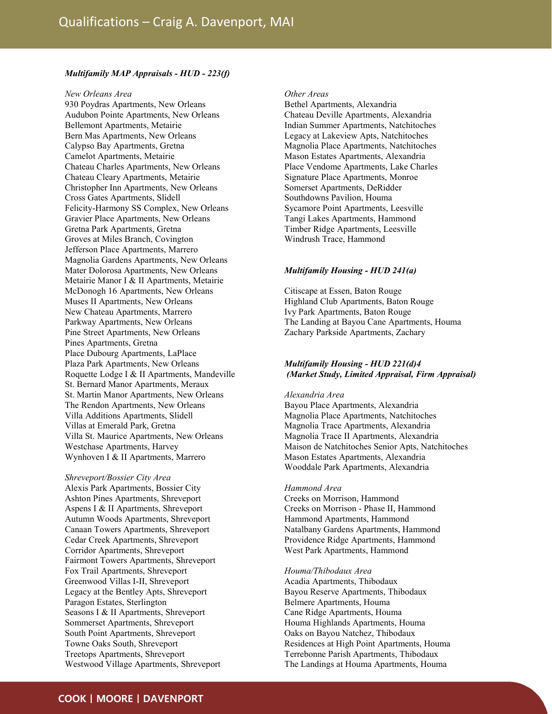## Multifamily MAP Appraisals - HUD - 223(f)

#### New Orleans Area

930 Poydras Apartments, New Orleans Audubon Pointe Apartments, New Orleans Bellemont Apartments, Metairie Bern Mas Apartments, New Orleans Calypso Bay Apartments, Gretna Camelot Apartments, Metairie Chateau Charles Apartments, New Orleans Chateau Cleary Apartments, Metairie Christopher Inn Apartments, New Orleans Cross Gates Apartments, Slidell Felicity-Harmony SS Complex, New Orleans Gravier Place Apartments, New Orleans Gretna Park Apartments, Gretna Groves at Miles Branch, Covington Jefferson Place Apartments, Marrero Magnolia Gardens Apartments, New Orleans Mater Dolorosa Apartments, New Orleans Metairie Manor I & II Apartments, Metairie McDonogh 16 Apartments, New Orleans Muses II Apartments, New Orleans New Chateau Apartments, Marrero Parkway Apartments, New Orleans Pine Street Apartments, New Orleans Pines Apartments, Gretna Place Dubourg Apartments, LaPlace Plaza Park Apartments, New Orleans Roquette Lodge I & II Apartments, Mandeville St. Bernard Manor Apartments, Meraux St. Martin Manor Apartments, New Orleans The Rendon Apartments, New Orleans Villa Additions Apartments, Slidell Villas at Emerald Park, Gretna Villa St. Maurice Apartments, New Orleans Westchase Apartments, Harvey Wynhoven I & II Apartments, Marrero

Shreveport/Bossier City Area Alexis Park Apartments, Bossier City Ashton Pines Apartments, Shreveport Aspens I & II Apartments, Shreveport Autumn Woods Apartments, Shreveport Canaan Towers Apartments, Shreveport Cedar Creek Apartments, Shreveport Corridor Apartments, Shreveport Fairmont Towers Apartments, Shreveport Fox Trail Apartments, Shreveport Greenwood Villas I-II, Shreveport Legacy at the Bentley Apts, Shreveport Paragon Estates, Sterlington Seasons I & II Apartments, Shreveport Sommerset Apartments, Shreveport South Point Apartments, Shreveport Towne Oaks South, Shreveport Treetops Apartments, Shreveport Westwood Village Apartments, Shreveport

#### Other Areas

Bethel Apartments, Alexandria Chateau Deville Apartments, Alexandria Indian Summer Apartments, Natchitoches Legacy at Lakeview Apts, Natchitoches Magnolia Place Apartments, Natchitoches Mason Estates Apartments, Alexandria Place Vendome Apartments, Lake Charles Signature Place Apartments, Monroe Somerset Apartments, DeRidder Southdowns Pavilion, Houma Sycamore Point Apartments, Leesville Tangi Lakes Apartments, Hammond Timber Ridge Apartments, Leesville Windrush Trace, Hammond

# Multifamily Housing - HUD 241(a)

Citiscape at Essen, Baton Rouge Highland Club Apartments, Baton Rouge Ivy Park Apartments, Baton Rouge The Landing at Bayou Cane Apartments, Houma Zachary Parkside Apartments, Zachary

# Multifamily Housing - HUD 221(d)4 (Market Study, Limited Appraisal, Firm Appraisal)

#### Alexandria Area

Bayou Place Apartments, Alexandria Magnolia Place Apartments, Natchitoches Magnolia Trace Apartments, Alexandria Magnolia Trace II Apartments, Alexandria Maison de Natchitoches Senior Apts, Natchitoches Mason Estates Apartments, Alexandria Wooddale Park Apartments, Alexandria

### Hammond Area

Creeks on Morrison, Hammond Creeks on Morrison - Phase II, Hammond Hammond Apartments, Hammond Natalbany Gardens Apartments, Hammond Providence Ridge Apartments, Hammond West Park Apartments, Hammond

Houma/Thibodaux Area Acadia Apartments, Thibodaux Bayou Reserve Apartments, Thibodaux Belmere Apartments, Houma Cane Ridge Apartments, Houma Houma Highlands Apartments, Houma Oaks on Bayou Natchez, Thibodaux Residences at High Point Apartments, Houma Terrebonne Parish Apartments, Thibodaux The Landings at Houma Apartments, Houma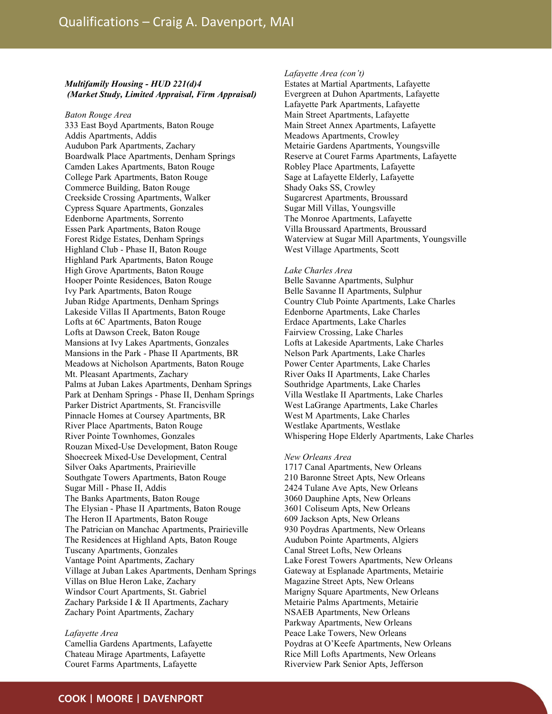# Multifamily Housing - HUD 221(d)4 (Market Study, Limited Appraisal, Firm Appraisal)

# Baton Rouge Area

333 East Boyd Apartments, Baton Rouge Addis Apartments, Addis Audubon Park Apartments, Zachary Boardwalk Place Apartments, Denham Springs Camden Lakes Apartments, Baton Rouge College Park Apartments, Baton Rouge Commerce Building, Baton Rouge Creekside Crossing Apartments, Walker Cypress Square Apartments, Gonzales Edenborne Apartments, Sorrento Essen Park Apartments, Baton Rouge Forest Ridge Estates, Denham Springs Highland Club - Phase II, Baton Rouge Highland Park Apartments, Baton Rouge High Grove Apartments, Baton Rouge Hooper Pointe Residences, Baton Rouge Ivy Park Apartments, Baton Rouge Juban Ridge Apartments, Denham Springs Lakeside Villas II Apartments, Baton Rouge Lofts at 6C Apartments, Baton Rouge Lofts at Dawson Creek, Baton Rouge Mansions at Ivy Lakes Apartments, Gonzales Mansions in the Park - Phase II Apartments, BR Meadows at Nicholson Apartments, Baton Rouge Mt. Pleasant Apartments, Zachary Palms at Juban Lakes Apartments, Denham Springs Park at Denham Springs - Phase II, Denham Springs Parker District Apartments, St. Francisville Pinnacle Homes at Coursey Apartments, BR River Place Apartments, Baton Rouge River Pointe Townhomes, Gonzales Rouzan Mixed-Use Development, Baton Rouge Shoecreek Mixed-Use Development, Central Silver Oaks Apartments, Prairieville Southgate Towers Apartments, Baton Rouge Sugar Mill - Phase II, Addis The Banks Apartments, Baton Rouge The Elysian - Phase II Apartments, Baton Rouge The Heron II Apartments, Baton Rouge The Patrician on Manchac Apartments, Prairieville The Residences at Highland Apts, Baton Rouge Tuscany Apartments, Gonzales Vantage Point Apartments, Zachary Village at Juban Lakes Apartments, Denham Springs Villas on Blue Heron Lake, Zachary Windsor Court Apartments, St. Gabriel Zachary Parkside I & II Apartments, Zachary Zachary Point Apartments, Zachary

# Lafayette Area

Camellia Gardens Apartments, Lafayette Chateau Mirage Apartments, Lafayette Couret Farms Apartments, Lafayette

# Lafayette Area (con't)

Estates at Martial Apartments, Lafayette Evergreen at Duhon Apartments, Lafayette Lafayette Park Apartments, Lafayette Main Street Apartments, Lafayette Main Street Annex Apartments, Lafayette Meadows Apartments, Crowley Metairie Gardens Apartments, Youngsville Reserve at Couret Farms Apartments, Lafayette Robley Place Apartments, Lafayette Sage at Lafayette Elderly, Lafayette Shady Oaks SS, Crowley Sugarcrest Apartments, Broussard Sugar Mill Villas, Youngsville The Monroe Apartments, Lafayette Villa Broussard Apartments, Broussard Waterview at Sugar Mill Apartments, Youngsville West Village Apartments, Scott

## Lake Charles Area

Belle Savanne Apartments, Sulphur Belle Savanne II Apartments, Sulphur Country Club Pointe Apartments, Lake Charles Edenborne Apartments, Lake Charles Erdace Apartments, Lake Charles Fairview Crossing, Lake Charles Lofts at Lakeside Apartments, Lake Charles Nelson Park Apartments, Lake Charles Power Center Apartments, Lake Charles River Oaks II Apartments, Lake Charles Southridge Apartments, Lake Charles Villa Westlake II Apartments, Lake Charles West LaGrange Apartments, Lake Charles West M Apartments, Lake Charles Westlake Apartments, Westlake Whispering Hope Elderly Apartments, Lake Charles

## New Orleans Area

1717 Canal Apartments, New Orleans 210 Baronne Street Apts, New Orleans 2424 Tulane Ave Apts, New Orleans 3060 Dauphine Apts, New Orleans 3601 Coliseum Apts, New Orleans 609 Jackson Apts, New Orleans 930 Poydras Apartments, New Orleans Audubon Pointe Apartments, Algiers Canal Street Lofts, New Orleans Lake Forest Towers Apartments, New Orleans Gateway at Esplanade Apartments, Metairie Magazine Street Apts, New Orleans Marigny Square Apartments, New Orleans Metairie Palms Apartments, Metairie NSAEB Apartments, New Orleans Parkway Apartments, New Orleans Peace Lake Towers, New Orleans Poydras at O'Keefe Apartments, New Orleans Rice Mill Lofts Apartments, New Orleans Riverview Park Senior Apts, Jefferson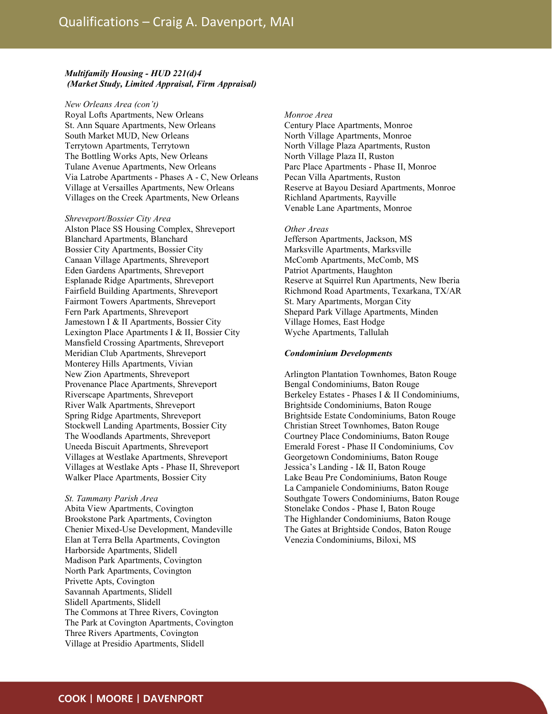# Multifamily Housing - HUD 221(d)4 (Market Study, Limited Appraisal, Firm Appraisal)

New Orleans Area (con't) Royal Lofts Apartments, New Orleans St. Ann Square Apartments, New Orleans South Market MUD, New Orleans Terrytown Apartments, Terrytown The Bottling Works Apts, New Orleans Tulane Avenue Apartments, New Orleans Via Latrobe Apartments - Phases A - C, New Orleans Village at Versailles Apartments, New Orleans Villages on the Creek Apartments, New Orleans

Shreveport/Bossier City Area Alston Place SS Housing Complex, Shreveport Blanchard Apartments, Blanchard Bossier City Apartments, Bossier City Canaan Village Apartments, Shreveport Eden Gardens Apartments, Shreveport Esplanade Ridge Apartments, Shreveport Fairfield Building Apartments, Shreveport Fairmont Towers Apartments, Shreveport Fern Park Apartments, Shreveport Jamestown I & II Apartments, Bossier City Lexington Place Apartments I & II, Bossier City Mansfield Crossing Apartments, Shreveport Meridian Club Apartments, Shreveport Monterey Hills Apartments, Vivian New Zion Apartments, Shreveport Provenance Place Apartments, Shreveport Riverscape Apartments, Shreveport River Walk Apartments, Shreveport Spring Ridge Apartments, Shreveport Stockwell Landing Apartments, Bossier City The Woodlands Apartments, Shreveport Uneeda Biscuit Apartments, Shreveport Villages at Westlake Apartments, Shreveport Villages at Westlake Apts - Phase II, Shreveport Walker Place Apartments, Bossier City

St. Tammany Parish Area Abita View Apartments, Covington Brookstone Park Apartments, Covington Chenier Mixed-Use Development, Mandeville Elan at Terra Bella Apartments, Covington Harborside Apartments, Slidell Madison Park Apartments, Covington North Park Apartments, Covington Privette Apts, Covington Savannah Apartments, Slidell Slidell Apartments, Slidell The Commons at Three Rivers, Covington The Park at Covington Apartments, Covington Three Rivers Apartments, Covington Village at Presidio Apartments, Slidell

#### Monroe Area

Century Place Apartments, Monroe North Village Apartments, Monroe North Village Plaza Apartments, Ruston North Village Plaza II, Ruston Parc Place Apartments - Phase II, Monroe Pecan Villa Apartments, Ruston Reserve at Bayou Desiard Apartments, Monroe Richland Apartments, Rayville Venable Lane Apartments, Monroe

## Other Areas

Jefferson Apartments, Jackson, MS Marksville Apartments, Marksville McComb Apartments, McComb, MS Patriot Apartments, Haughton Reserve at Squirrel Run Apartments, New Iberia Richmond Road Apartments, Texarkana, TX/AR St. Mary Apartments, Morgan City Shepard Park Village Apartments, Minden Village Homes, East Hodge Wyche Apartments, Tallulah

#### Condominium Developments

Arlington Plantation Townhomes, Baton Rouge Bengal Condominiums, Baton Rouge Berkeley Estates - Phases I & II Condominiums, Brightside Condominiums, Baton Rouge Brightside Estate Condominiums, Baton Rouge Christian Street Townhomes, Baton Rouge Courtney Place Condominiums, Baton Rouge Emerald Forest - Phase II Condominiums, Cov Georgetown Condominiums, Baton Rouge Jessica's Landing - I& II, Baton Rouge Lake Beau Pre Condominiums, Baton Rouge La Campaniele Condominiums, Baton Rouge Southgate Towers Condominiums, Baton Rouge Stonelake Condos - Phase I, Baton Rouge The Highlander Condominiums, Baton Rouge The Gates at Brightside Condos, Baton Rouge Venezia Condominiums, Biloxi, MS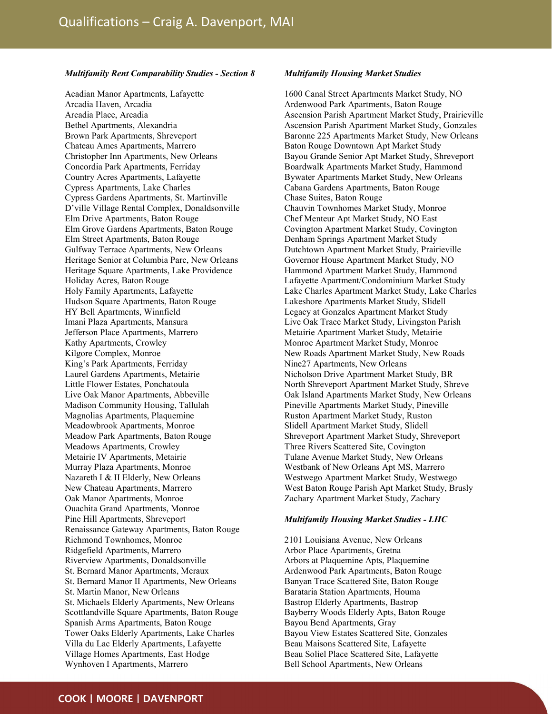## Multifamily Rent Comparability Studies - Section 8

Acadian Manor Apartments, Lafayette Arcadia Haven, Arcadia Arcadia Place, Arcadia Bethel Apartments, Alexandria Brown Park Apartments, Shreveport Chateau Ames Apartments, Marrero Christopher Inn Apartments, New Orleans Concordia Park Apartments, Ferriday Country Acres Apartments, Lafayette Cypress Apartments, Lake Charles Cypress Gardens Apartments, St. Martinville D'ville Village Rental Complex, Donaldsonville Elm Drive Apartments, Baton Rouge Elm Grove Gardens Apartments, Baton Rouge Elm Street Apartments, Baton Rouge Gulfway Terrace Apartments, New Orleans Heritage Senior at Columbia Parc, New Orleans Heritage Square Apartments, Lake Providence Holiday Acres, Baton Rouge Holy Family Apartments, Lafayette Hudson Square Apartments, Baton Rouge HY Bell Apartments, Winnfield Imani Plaza Apartments, Mansura Jefferson Place Apartments, Marrero Kathy Apartments, Crowley Kilgore Complex, Monroe King's Park Apartments, Ferriday Laurel Gardens Apartments, Metairie Little Flower Estates, Ponchatoula Live Oak Manor Apartments, Abbeville Madison Community Housing, Tallulah Magnolias Apartments, Plaquemine Meadowbrook Apartments, Monroe Meadow Park Apartments, Baton Rouge Meadows Apartments, Crowley Metairie IV Apartments, Metairie Murray Plaza Apartments, Monroe Nazareth I & II Elderly, New Orleans New Chateau Apartments, Marrero Oak Manor Apartments, Monroe Ouachita Grand Apartments, Monroe Pine Hill Apartments, Shreveport Renaissance Gateway Apartments, Baton Rouge Richmond Townhomes, Monroe Ridgefield Apartments, Marrero Riverview Apartments, Donaldsonville St. Bernard Manor Apartments, Meraux St. Bernard Manor II Apartments, New Orleans St. Martin Manor, New Orleans St. Michaels Elderly Apartments, New Orleans Scottlandville Square Apartments, Baton Rouge Spanish Arms Apartments, Baton Rouge Tower Oaks Elderly Apartments, Lake Charles Villa du Lac Elderly Apartments, Lafayette Village Homes Apartments, East Hodge Wynhoven I Apartments, Marrero

# Multifamily Housing Market Studies

1600 Canal Street Apartments Market Study, NO Ardenwood Park Apartments, Baton Rouge Ascension Parish Apartment Market Study, Prairieville Ascension Parish Apartment Market Study, Gonzales Baronne 225 Apartments Market Study, New Orleans Baton Rouge Downtown Apt Market Study Bayou Grande Senior Apt Market Study, Shreveport Boardwalk Apartments Market Study, Hammond Bywater Apartments Market Study, New Orleans Cabana Gardens Apartments, Baton Rouge Chase Suites, Baton Rouge Chauvin Townhomes Market Study, Monroe Chef Menteur Apt Market Study, NO East Covington Apartment Market Study, Covington Denham Springs Apartment Market Study Dutchtown Apartment Market Study, Prairieville Governor House Apartment Market Study, NO Hammond Apartment Market Study, Hammond Lafayette Apartment/Condominium Market Study Lake Charles Apartment Market Study, Lake Charles Lakeshore Apartments Market Study, Slidell Legacy at Gonzales Apartment Market Study Live Oak Trace Market Study, Livingston Parish Metairie Apartment Market Study, Metairie Monroe Apartment Market Study, Monroe New Roads Apartment Market Study, New Roads Nine27 Apartments, New Orleans Nicholson Drive Apartment Market Study, BR North Shreveport Apartment Market Study, Shreve Oak Island Apartments Market Study, New Orleans Pineville Apartments Market Study, Pineville Ruston Apartment Market Study, Ruston Slidell Apartment Market Study, Slidell Shreveport Apartment Market Study, Shreveport Three Rivers Scattered Site, Covington Tulane Avenue Market Study, New Orleans Westbank of New Orleans Apt MS, Marrero Westwego Apartment Market Study, Westwego West Baton Rouge Parish Apt Market Study, Brusly Zachary Apartment Market Study, Zachary

## Multifamily Housing Market Studies - LHC

2101 Louisiana Avenue, New Orleans Arbor Place Apartments, Gretna Arbors at Plaquemine Apts, Plaquemine Ardenwood Park Apartments, Baton Rouge Banyan Trace Scattered Site, Baton Rouge Barataria Station Apartments, Houma Bastrop Elderly Apartments, Bastrop Bayberry Woods Elderly Apts, Baton Rouge Bayou Bend Apartments, Gray Bayou View Estates Scattered Site, Gonzales Beau Maisons Scattered Site, Lafayette Beau Soliel Place Scattered Site, Lafayette Bell School Apartments, New Orleans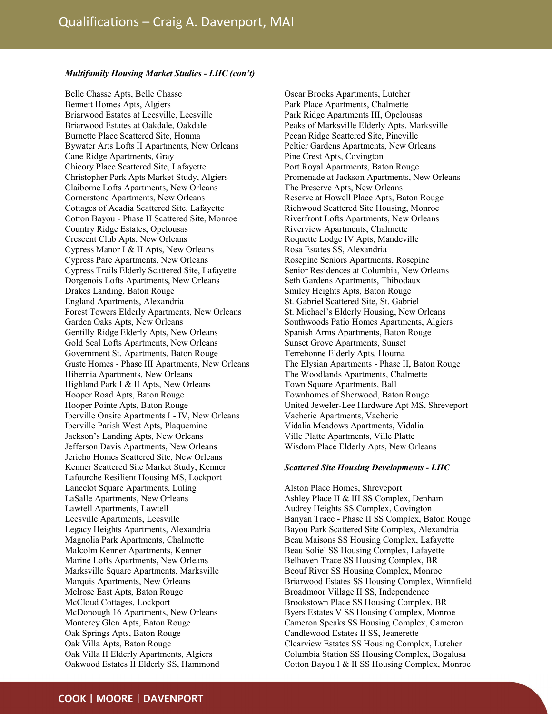# Multifamily Housing Market Studies - LHC (con't)

Belle Chasse Apts, Belle Chasse Bennett Homes Apts, Algiers Briarwood Estates at Leesville, Leesville Briarwood Estates at Oakdale, Oakdale Burnette Place Scattered Site, Houma Bywater Arts Lofts II Apartments, New Orleans Cane Ridge Apartments, Gray Chicory Place Scattered Site, Lafayette Christopher Park Apts Market Study, Algiers Claiborne Lofts Apartments, New Orleans Cornerstone Apartments, New Orleans Cottages of Acadia Scattered Site, Lafayette Cotton Bayou - Phase II Scattered Site, Monroe Country Ridge Estates, Opelousas Crescent Club Apts, New Orleans Cypress Manor I & II Apts, New Orleans Cypress Parc Apartments, New Orleans Cypress Trails Elderly Scattered Site, Lafayette Dorgenois Lofts Apartments, New Orleans Drakes Landing, Baton Rouge England Apartments, Alexandria Forest Towers Elderly Apartments, New Orleans Garden Oaks Apts, New Orleans Gentilly Ridge Elderly Apts, New Orleans Gold Seal Lofts Apartments, New Orleans Government St. Apartments, Baton Rouge Guste Homes - Phase III Apartments, New Orleans Hibernia Apartments, New Orleans Highland Park I & II Apts, New Orleans Hooper Road Apts, Baton Rouge Hooper Pointe Apts, Baton Rouge Iberville Onsite Apartments I - IV, New Orleans Iberville Parish West Apts, Plaquemine Jackson's Landing Apts, New Orleans Jefferson Davis Apartments, New Orleans Jericho Homes Scattered Site, New Orleans Kenner Scattered Site Market Study, Kenner Lafourche Resilient Housing MS, Lockport Lancelot Square Apartments, Luling LaSalle Apartments, New Orleans Lawtell Apartments, Lawtell Leesville Apartments, Leesville Legacy Heights Apartments, Alexandria Magnolia Park Apartments, Chalmette Malcolm Kenner Apartments, Kenner Marine Lofts Apartments, New Orleans Marksville Square Apartments, Marksville Marquis Apartments, New Orleans Melrose East Apts, Baton Rouge McCloud Cottages, Lockport McDonough 16 Apartments, New Orleans Monterey Glen Apts, Baton Rouge Oak Springs Apts, Baton Rouge Oak Villa Apts, Baton Rouge Oak Villa II Elderly Apartments, Algiers Oakwood Estates II Elderly SS, Hammond

Oscar Brooks Apartments, Lutcher Park Place Apartments, Chalmette Park Ridge Apartments III, Opelousas Peaks of Marksville Elderly Apts, Marksville Pecan Ridge Scattered Site, Pineville Peltier Gardens Apartments, New Orleans Pine Crest Apts, Covington Port Royal Apartments, Baton Rouge Promenade at Jackson Apartments, New Orleans The Preserve Apts, New Orleans Reserve at Howell Place Apts, Baton Rouge Richwood Scattered Site Housing, Monroe Riverfront Lofts Apartments, New Orleans Riverview Apartments, Chalmette Roquette Lodge IV Apts, Mandeville Rosa Estates SS, Alexandria Rosepine Seniors Apartments, Rosepine Senior Residences at Columbia, New Orleans Seth Gardens Apartments, Thibodaux Smiley Heights Apts, Baton Rouge St. Gabriel Scattered Site, St. Gabriel St. Michael's Elderly Housing, New Orleans Southwoods Patio Homes Apartments, Algiers Spanish Arms Apartments, Baton Rouge Sunset Grove Apartments, Sunset Terrebonne Elderly Apts, Houma The Elysian Apartments - Phase II, Baton Rouge The Woodlands Apartments, Chalmette Town Square Apartments, Ball Townhomes of Sherwood, Baton Rouge United Jeweler-Lee Hardware Apt MS, Shreveport Vacherie Apartments, Vacherie Vidalia Meadows Apartments, Vidalia Ville Platte Apartments, Ville Platte Wisdom Place Elderly Apts, New Orleans

## Scattered Site Housing Developments - LHC

Alston Place Homes, Shreveport Ashley Place II & III SS Complex, Denham Audrey Heights SS Complex, Covington Banyan Trace - Phase II SS Complex, Baton Rouge Bayou Park Scattered Site Complex, Alexandria Beau Maisons SS Housing Complex, Lafayette Beau Soliel SS Housing Complex, Lafayette Belhaven Trace SS Housing Complex, BR Beouf River SS Housing Complex, Monroe Briarwood Estates SS Housing Complex, Winnfield Broadmoor Village II SS, Independence Brookstown Place SS Housing Complex, BR Byers Estates V SS Housing Complex, Monroe Cameron Speaks SS Housing Complex, Cameron Candlewood Estates II SS, Jeanerette Clearview Estates SS Housing Complex, Lutcher Columbia Station SS Housing Complex, Bogalusa Cotton Bayou I & II SS Housing Complex, Monroe